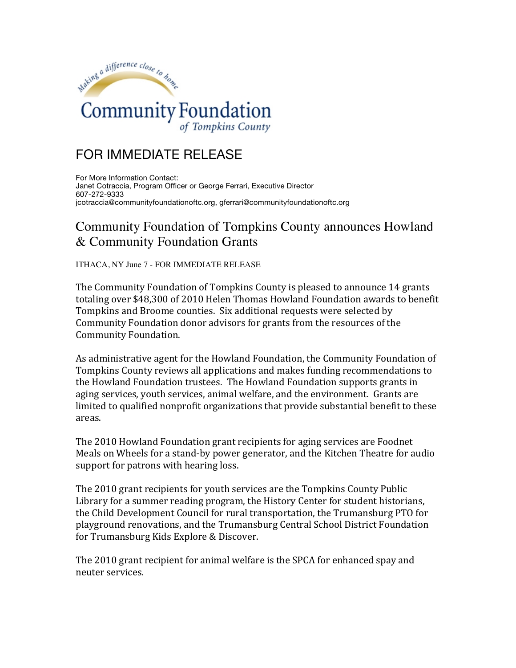

## FOR IMMEDIATE RELEASE

For More Information Contact: Janet Cotraccia, Program Officer or George Ferrari, Executive Director 607-272-9333 jcotraccia@communityfoundationoftc.org, gferrari@communityfoundationoftc.org

## Community Foundation of Tompkins County announces Howland & Community Foundation Grants

ITHACA, NY June 7 - FOR IMMEDIATE RELEASE

The Community Foundation of Tompkins County is pleased to announce 14 grants totaling over \$48,300 of 2010 Helen Thomas Howland Foundation awards to benefit Tompkins and Broome counties. Six additional requests were selected by Community Foundation donor advisors for grants from the resources of the Community Foundation.

As administrative agent for the Howland Foundation, the Community Foundation of Tompkins County reviews all applications and makes funding recommendations to the Howland Foundation trustees. The Howland Foundation supports grants in aging services, youth services, animal welfare, and the environment. Grants are limited to qualified nonprofit organizations that provide substantial benefit to these areas.

The 2010 Howland Foundation grant recipients for aging services are Foodnet Meals on Wheels for a stand-by power generator, and the Kitchen Theatre for audio support for patrons with hearing loss.

The 2010 grant recipients for youth services are the Tompkins County Public Library for a summer reading program, the History Center for student historians, the Child Development Council for rural transportation, the Trumansburg PTO for playground renovations, and the Trumansburg Central School District Foundation for Trumansburg Kids Explore & Discover.

The 2010 grant recipient for animal welfare is the SPCA for enhanced spay and neuter services.